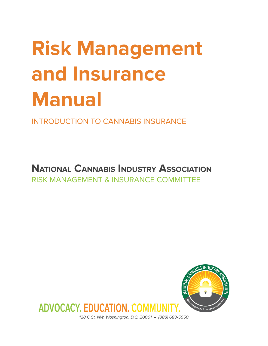# **Risk Management and Insurance Manual**

INTRODUCTION TO CANNABIS INSURANCE

**NATIONAL CANNABIS INDUSTRY ASSOCIATION** RISK MANAGEMENT & INSURANCE COMMITTEE



128 C St. NW, Washington, D.C. 20001 ● (888) 683-5650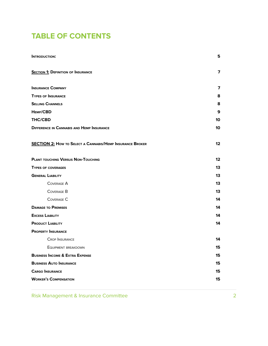### **TABLE OF CONTENTS**

| <b>INTRODUCTION:</b>                                             | 5                       |
|------------------------------------------------------------------|-------------------------|
| <b>SECTION 1: DEFINITION OF INSURANCE</b>                        | $\overline{\mathbf{z}}$ |
| <b>INSURANCE COMPANY</b>                                         | $\overline{7}$          |
| <b>TYPES OF INSURANCE</b>                                        | 8                       |
| <b>SELLING CHANNELS</b>                                          | 8                       |
| HEMP/CBD                                                         | 9                       |
| <b>THC/CBD</b>                                                   | 10                      |
| <b>DIFFERENCE IN CANNABIS AND HEMP INSURANCE</b>                 | 10                      |
| <b>SECTION 2:</b> How to Select a Cannabis/Hemp Insurance Broker | $12 \,$                 |
| <b>PLANT TOUCHING VERSUS NON-TOUCHING</b>                        | 12                      |
| <b>TYPES OF COVERAGES</b>                                        | 13                      |
| <b>GENERAL LIABILITY</b>                                         | 13                      |
| <b>COVERAGE A</b>                                                | 13                      |
| <b>COVERAGE B</b>                                                | 13                      |
| <b>COVERAGE C</b>                                                | 14                      |
| <b>DAMAGE TO PREMISES</b>                                        | 14                      |
| <b>EXCESS LIABILITY</b>                                          | 14                      |
| <b>PRODUCT LIABILITY</b>                                         | 14                      |
| <b>PROPERTY INSURANCE</b>                                        |                         |
| <b>CROP INSURANCE</b>                                            | 14                      |
| EQUIPMENT BREAKDOWN                                              | 15                      |
| <b>BUSINESS INCOME &amp; EXTRA EXPENSE</b>                       | 15                      |
| <b>BUSINESS AUTO INSURANCE</b>                                   | 15                      |
| <b>CARGO INSURANCE</b>                                           | 15                      |
| <b>WORKER'S COMPENSATION</b>                                     | 15                      |

Risk Management & Insurance Committee 2008 2012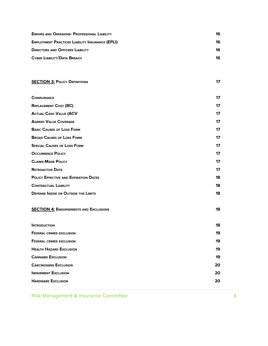| <b>ERRORS AND OMISSIONS- PROFESSIONAL LIABILITY</b>    | 16 |  |
|--------------------------------------------------------|----|--|
| <b>EMPLOYMENT PRACTICES LIABILITY INSURANCE (EPLI)</b> | 16 |  |
| <b>DIRECTORS AND OFFICERS LIABILITY</b>                | 16 |  |
| <b>CYBER LIABILITY/DATA BREACH</b>                     | 16 |  |

| <b>SECTION 3: POLICY DEFINITIONS</b>          | 17 |
|-----------------------------------------------|----|
|                                               |    |
| <b>COINSURANCE</b>                            | 17 |
| <b>REPLACEMENT COST (RC)</b>                  | 17 |
| <b>ACTUAL CASH VALUE (ACV</b>                 | 17 |
| <b>AGREED VALUE COVERAGE</b>                  | 17 |
| <b>BASIC CAUSES OF LOSS FORM</b>              | 17 |
| <b>BROAD CAUSES OF LOSS FORM</b>              | 17 |
| <b>SPECIAL CAUSES OF LOSS FORM</b>            | 17 |
| <b>OCCURRENCE POLICY</b>                      | 17 |
| <b>CLAIMS-MADE POLICY</b>                     | 17 |
| <b>RETROACTIVE DATE</b>                       | 17 |
| <b>POLICY EFFECTIVE AND EXPIRATION DATES</b>  | 18 |
| <b>CONTRACTUAL LIABILITY</b>                  | 18 |
| <b>DEFENSE INSIDE OR OUTSIDE THE LIMITS</b>   | 18 |
|                                               |    |
| <b>SECTION 4: ENDORSEMENTS AND EXCLUSIONS</b> | 18 |
|                                               |    |
| <b>INTRODUCTION</b>                           | 18 |
| <b>FEDERAL CRIMES EXCLUSION</b>               | 19 |
| <b>FEDERAL CRIMES EXCLUSION</b>               | 19 |
| <b>HEALTH HAZARD EXCLUSION</b>                | 19 |
| <b>CANNABIS EXCLUSION</b>                     | 19 |
| <b>CARCINOGENS EXCLUSION</b>                  | 20 |
|                                               |    |

**IMPAIRMENT EXCLUSION 20 HARDWARE EXCLUSION 20**

Risk Management & Insurance Committee 3 and 3 3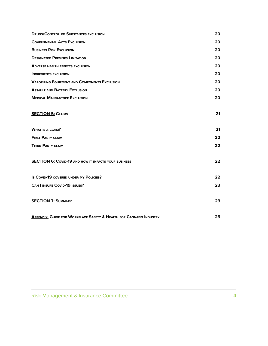| <b>DRUGS/CONTROLLED SUBSTANCES EXCLUSION</b>                                   | 20 |
|--------------------------------------------------------------------------------|----|
| <b>GOVERNMENTAL ACTS EXCLUSION</b>                                             | 20 |
| <b>BUSINESS RISK EXCLUSION</b>                                                 | 20 |
| <b>DESIGNATED PREMISES LIMITATION</b>                                          | 20 |
| <b>ADVERSE HEALTH EFFECTS EXCLUSION</b>                                        | 20 |
| <b>INGREDIENTS EXCLUSION</b>                                                   | 20 |
| <b>VAPORIZING EQUIPMENT AND COMPONENTS EXCLUSION</b>                           | 20 |
| <b>ASSAULT AND BATTERY EXCLUSION</b>                                           | 20 |
| <b>MEDICAL MALPRACTICE EXCLUSION</b>                                           | 20 |
|                                                                                |    |
| <b>SECTION 5: CLAIMS</b>                                                       | 21 |
|                                                                                |    |
| <b>WHAT IS A CLAIM?</b>                                                        | 21 |
| <b>FIRST PARTY CLAIM</b>                                                       | 22 |
| <b>THIRD PARTY CLAIM</b>                                                       | 22 |
|                                                                                |    |
| <b>SECTION 6: COVID-19 AND HOW IT IMPACTS YOUR BUSINESS</b>                    | 22 |
|                                                                                |    |
| Is COVID-19 COVERED UNDER MY POLICIES?                                         | 22 |
| <b>CAN I INSURE COVID-19 ISSUES?</b>                                           | 23 |
|                                                                                |    |
| <b>SECTION 7: SUMMARY</b>                                                      | 23 |
|                                                                                |    |
| <b>APPENDIX: GUIDE FOR WORKPLACE SAFETY &amp; HEALTH FOR CANNABIS INDUSTRY</b> | 25 |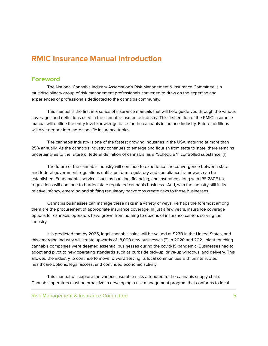#### **RMIC Insurance Manual Introduction**

#### **Foreword**

The National Cannabis Industry Association's Risk Management & Insurance Committee is a multidisciplinary group of risk management professionals convened to draw on the expertise and experiences of professionals dedicated to the cannabis community.

This manual is the first in a series of insurance manuals that will help guide you through the various coverages and definitions used in the cannabis insurance industry. This first edition of the RMIC Insurance manual will outline the entry level knowledge base for the cannabis insurance industry. Future additions will dive deeper into more specific insurance topics.

The cannabis industry is one of the fastest growing industries in the USA maturing at more than 25% annually. As the cannabis industry continues to emerge and flourish from state to state, there remains uncertainty as to the future of federal definition of cannabis as a "Schedule 1" controlled substance. (1)

The future of the cannabis industry will continue to experience the convergence between state and federal government regulations until a uniform regulatory and compliance framework can be established. Fundamental services such as banking, financing, and insurance along with IRS 280E tax regulations will continue to burden state regulated cannabis business. And, with the industry still in its relative infancy, emerging and shifting regulatory backdrops create risks to these businesses.

Cannabis businesses can manage these risks in a variety of ways. Perhaps the foremost among them are the procurement of appropriate insurance coverage. In just a few years, insurance coverage options for cannabis operators have grown from nothing to dozens of insurance carriers serving the industry.

It is predicted that by 2025, legal cannabis sales will be valued at \$23B in the United States, and this emerging industry will create upwards of 18,000 new businesses.(2) In 2020 and 2021, plant-touching cannabis companies were deemed essential businesses during the covid-19 pandemic. Businesses had to adopt and pivot to new operating standards such as curbside pick-up, drive-up windows, and delivery. This allowed the industry to continue to move forward serving its local communities with uninterrupted healthcare options, legal access, and continued economic activity.

This manual will explore the various insurable risks attributed to the cannabis supply chain. Cannabis operators must be proactive in developing a risk management program that conforms to local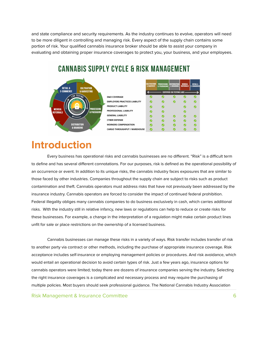and state compliance and security requirements. As the industry continues to evolve, operators will need to be more diligent in controlling and managing risk. Every aspect of the supply chain contains some portion of risk. Your qualified cannabis insurance broker should be able to assist your company in evaluating and obtaining proper insurance coverages to protect you, your business, and your employees.



### **CANNABIS SUPPLY CYCLE & RISK MANAGEMENT**

### **Introduction**

Every business has operational risks and cannabis businesses are no different. "Risk" is a difficult term to define and has several different connotations. For our purposes, risk is defined as the operational possibility of an occurrence or event. In addition to its unique risks, the cannabis industry faces exposures that are similar to those faced by other industries. Companies throughout the supply chain are subject to risks such as product contamination and theft. Cannabis operators must address risks that have not previously been addressed by the insurance industry. Cannabis operators are forced to consider the impact of continued federal prohibition. Federal illegality obliges many cannabis companies to do business exclusively in cash, which carries additional risks. With the industry still in relative infancy, new laws or regulations can help to reduce or create risks for these businesses. For example, a change in the interpretation of a regulation might make certain product lines unfit for sale or place restrictions on the ownership of a licensed business.

Cannabis businesses can manage these risks in a variety of ways. Risk transfer includes transfer of risk to another party via contract or other methods, including the purchase of appropriate insurance coverage. Risk acceptance includes self-insurance or employing management policies or procedures. And risk avoidance, which would entail an operational decision to avoid certain types of risk. Just a few years ago, insurance options for cannabis operators were limited; today there are dozens of insurance companies serving the industry. Selecting the right insurance coverages is a complicated and necessary process and may require the purchasing of multiple policies. Most buyers should seek professional guidance. The National Cannabis Industry Association

Risk Management & Insurance Committee 6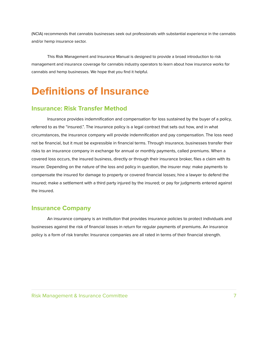(NCIA) recommends that cannabis businesses seek out professionals with substantial experience in the cannabis and/or hemp insurance sector.

This Risk Management and Insurance Manual is designed to provide a broad introduction to risk management and insurance coverage for cannabis industry operators to learn about how insurance works for cannabis and hemp businesses. We hope that you find it helpful.

### **Definitions of Insurance**

#### **Insurance: Risk Transfer Method**

Insurance provides indemnification and compensation for loss sustained by the buyer of a policy, referred to as the "insured.". The insurance policy is a legal contract that sets out how, and in what circumstances, the insurance company will provide indemnification and pay compensation. The loss need not be financial, but it must be expressible in financial terms. Through insurance, businesses transfer their risks to an insurance company in exchange for annual or monthly payments, called premiums. When a covered loss occurs, the insured business, directly or through their insurance broker, files a claim with its insurer. Depending on the nature of the loss and policy in question, the insurer may: make payments to compensate the insured for damage to property or covered financial losses; hire a lawyer to defend the insured; make a settlement with a third party injured by the insured; or pay for judgments entered against the insured.

#### **Insurance Company**

An insurance company is an institution that provides insurance policies to protect individuals and businesses against the risk of financial losses in return for regular payments of premiums. An insurance policy is a form of risk transfer. Insurance companies are all rated in terms of their financial strength.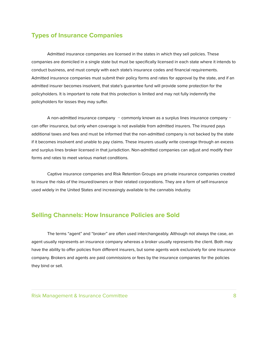#### **Types of Insurance Companies**

Admitted insurance companies are licensed in the states in which they sell policies. These companies are domiciled in a single state but must be specifically licensed in each state where it intends to conduct business, and must comply with each state's insurance codes and financial requirements. Admitted insurance companies must submit their policy forms and rates for approval by the state, and if an admitted insurer becomes insolvent, that state's guarantee fund will provide some protection for the policyholders. It is important to note that this protection is limited and may not fully indemnify the policyholders for losses they may suffer.

A non-admitted insurance company *–* commonly known as a surplus lines insurance company *–* can offer insurance, but only when coverage is not available from admitted insurers. The insured pays additional taxes and fees and must be informed that the non-admitted company is not backed by the state if it becomes insolvent and unable to pay claims. These insurers usually write coverage through an excess and surplus lines broker licensed in that jurisdiction. Non-admitted companies can adjust and modify their forms and rates to meet various market conditions.

Captive insurance companies and Risk Retention Groups are private insurance companies created to insure the risks of the insured/owners or their related corporations. They are a form of self-insurance used widely in the United States and increasingly available to the cannabis industry.

#### **Selling Channels: How Insurance Policies are Sold**

The terms "agent" and "broker" are often used interchangeably. Although not always the case, an agent usually represents an insurance company whereas a broker usually represents the client. Both may have the ability to offer policies from different insurers, but some agents work exclusively for one insurance company. Brokers and agents are paid commissions or fees by the insurance companies for the policies they bind or sell.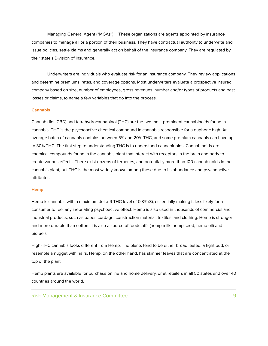Managing General Agent ("MGAs") *–* These organizations are agents appointed by insurance companies to manage all or a portion of their business. They have contractual authority to underwrite and issue policies, settle claims and generally act on behalf of the insurance company. They are regulated by their state's Division of Insurance.

Underwriters are individuals who evaluate risk for an insurance company. They review applications, and determine premiums, rates, and coverage options. Most underwriters evaluate a prospective insured company based on size, number of employees, gross revenues, number and/or types of products and past losses or claims, to name a few variables that go into the process.

#### **Cannabis**

Cannabidiol (CBD) and tetrahydrocannabinol (THC) are the two most prominent cannabinoids found in cannabis. THC is the psychoactive chemical compound in cannabis responsible for a euphoric high. An average batch of cannabis contains between 5% and 20% THC, and some premium cannabis can have up to 30% THC. The first step to understanding THC is to understand cannabinoids. Cannabinoids are chemical compounds found in the cannabis plant that interact with receptors in the brain and body to create various effects. There exist dozens of terpenes, and potentially more than 100 cannabinoids in the cannabis plant, but THC is the most widely known among these due to its abundance and psychoactive attributes.

#### **Hemp**

Hemp is cannabis with a maximum delta-9 THC level of 0.3% (3), essentially making it less likely for a consumer to feel any inebriating psychoactive effect. Hemp is also used in thousands of commercial and industrial products, such as paper, cordage, construction material, textiles, and clothing. Hemp is stronger and more durable than cotton. It is also a source of foodstuffs (hemp milk, hemp seed, hemp oil) and biofuels.

High-THC cannabis looks different from Hemp. The plants tend to be either broad leafed, a tight bud, or resemble a nugget with hairs. Hemp, on the other hand, has skinnier leaves that are concentrated at the top of the plant.

Hemp plants are available for purchase online and home delivery, or at retailers in all 50 states and over 40 countries around the world.

Risk Management & Insurance Committee 9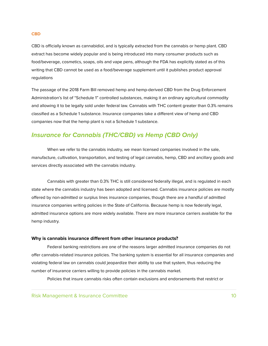#### **CBD**

CBD is officially known as cannabidiol, and is typically extracted from the [cannabis](https://www.s2sinsure.com/cannabis-insurance/medical-cannabis-and-tips-on-how-to-use-it/) or hemp plant. CBD extract has become widely popular and is being introduced into many consumer products such as food/beverage, cosmetics, soaps, oils and vape pens, although the FDA has explicitly stated as of this writing that CBD cannot be used as a food/beverage supplement until it publishes product approval regulations

The passage of the 2018 Farm Bill removed hemp and hemp-derived CBD from the Drug Enforcement Administration's list of "Schedule 1" controlled substances, making it an ordinary agricultural commodity and allowing it to be legally sold under federal law. Cannabis with THC content greater than 0.3% remains classified as a Schedule 1 substance. Insurance companies take a different view of hemp and CBD companies now that the hemp plant is not a Schedule 1 substance.

#### **Insurance for Cannabis (THC/CBD) vs Hemp (CBD Only)**

When we refer to the cannabis industry, we mean licensed companies involved in the sale, manufacture, cultivation, transportation, and testing of legal cannabis, hemp, CBD and ancillary goods and services directly associated with the cannabis industry.

Cannabis with greater than 0.3% THC is still considered federally illegal, and is regulated in each state where the cannabis industry has been adopted and licensed. Cannabis insurance policies are mostly offered by non-admitted or surplus lines insurance companies, though there are a handful of admitted insurance companies writing policies in the State of California. Because hemp is now federally legal, admitted insurance options are more widely available. There are more insurance carriers available for the hemp industry.

#### **Why is cannabis insurance different from other insurance products?**

Federal banking restrictions are one of the reasons larger admitted insurance companies do not offer cannabis-related insurance policies. The banking system is essential for all insurance companies and violating federal law on cannabis could jeopardize their ability to use that system, thus reducing the number of insurance carriers willing to provide policies in the cannabis market.

Policies that insure cannabis risks often contain exclusions and endorsements that restrict or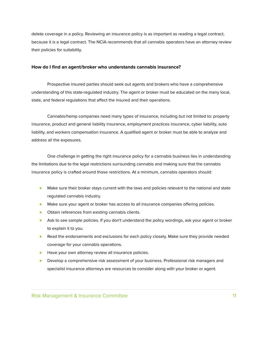delete coverage in a policy. Reviewing an insurance policy is as important as reading a legal contract, because it is a legal contract. The NCIA recommends that all cannabis operators have an attorney review their policies for suitability.

#### **How do I find an agent/broker who understands cannabis insurance?**

Prospective insured parties should seek out agents and brokers who have a comprehensive understanding of this state-regulated industry. The agent or broker must be educated on the many local, state, and federal regulations that affect the insured and their operations.

Cannabis/hemp companies need many types of insurance, including but not limited to: property insurance, product and general liability insurance, employment practices insurance, cyber liability, auto liability, and workers compensation insurance. A qualified agent or broker must be able to analyze and address all the exposures.

One challenge in getting the right insurance policy for a cannabis business lies in understanding the limitations due to the legal restrictions surrounding cannabis and making sure that the cannabis insurance policy is crafted around those restrictions. At a minimum, cannabis operators should:

- Make sure their broker stays current with the laws and policies relevant to the national and state regulated cannabis industry.
- **•** Make sure your agent or broker has access to all insurance companies offering policies.
- Obtain references from existing cannabis clients.
- Ask to see sample policies. If you don't understand the policy wordings, ask your agent or broker to explain it to you.
- Read the endorsements and exclusions for each policy closely. Make sure they provide needed coverage for your cannabis operations.
- Have your own attorney review all insurance policies.
- Develop a comprehensive risk assessment of your business. Professional risk managers and specialist insurance attorneys are resources to consider along with your broker or agent.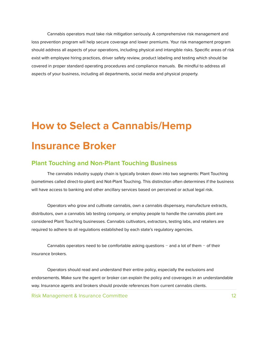Cannabis operators must take risk mitigation seriously. A comprehensive risk management and loss prevention program will help secure coverage and lower premiums. Your risk management program should address all aspects of your operations, including physical and intangible risks. Specific areas of risk exist with employee hiring practices, driver safety review, product labeling and testing which should be covered in proper standard operating procedures and compliance manuals. Be mindful to address all aspects of your business, including all departments, social media and physical property.

### **How to Select a Cannabis/Hemp Insurance Broker**

#### **Plant Touching and Non-Plant Touching Business**

The cannabis industry supply chain is typically broken down into two segments: Plant Touching (sometimes called direct-to-plant) and Not-Plant Touching. This distinction often determines if the business will have access to banking and other ancillary services based on perceived or actual legal risk.

Operators who grow and cultivate cannabis, own a cannabis dispensary, manufacture extracts, distributors, own a cannabis lab testing company, or employ people to handle the cannabis plant are considered Plant Touching businesses. Cannabis cultivators, extractors, testing labs, and retailers are required to adhere to all regulations established by each state's regulatory agencies.

Cannabis operators need to be comfortable asking questions *–* and a lot of them *–* of their insurance brokers.

Operators should read and understand their entire policy, especially the exclusions and endorsements. Make sure the agent or broker can explain the policy and coverages in an understandable way. Insurance agents and brokers should provide references from current cannabis clients.

Risk Management & Insurance Committee 12 and 12 and 12 and 12 and 12 and 12 and 12 and 12 and 12 and 12 and 12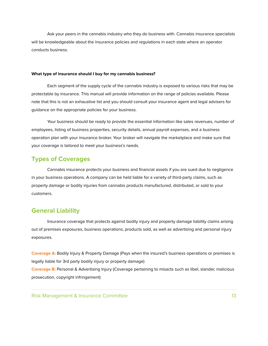Ask your peers in the cannabis industry who they do business with. Cannabis insurance specialists will be knowledgeable about the insurance policies and regulations in each state where an operator conducts business.

#### **What type of insurance should I buy for my cannabis business?**

Each segment of the supply cycle of the cannabis industry is exposed to various risks that may be protectable by insurance. This manual will provide information on the range of policies available. Please note that this is not an exhaustive list and you should consult your insurance agent and legal advisers for guidance on the appropriate policies for your business.

Your business should be ready to provide the essential information like sales revenues, number of employees, listing of business properties, security details, annual payroll expenses, and a business operation plan with your insurance broker. Your broker will navigate the marketplace and make sure that your coverage is tailored to meet your business's needs.

#### **Types of Coverages**

Cannabis insurance protects your business and financial assets if you are sued due to negligence in your business operations. A company can be held liable for a variety of third-party claims, such as property damage or bodily injuries from cannabis products manufactured, distributed, or sold to your customers.

#### **General Liability**

Insurance coverage that protects against bodily injury and property damage liability claims arising out of premises exposures, business operations, products sold, as well as advertising and personal injury exposures.

**Coverage A:** Bodily Injury & Property Damage (Pays when the insured's business operations or premises is legally liable for 3rd party bodily injury or property damage) **Coverage B:** Personal & Advertising Injury (Coverage pertaining to misacts such as libel, slander, malicious prosecution, copyright infringement)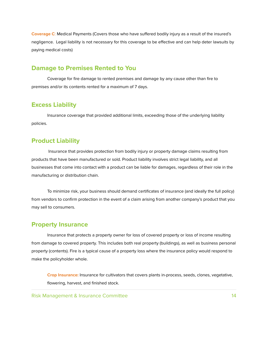**Coverage C**: Medical Payments (Covers those who have suffered bodily injury as a result of the insured's negligence. Legal liability is not necessary for this coverage to be effective and can help deter lawsuits by paying medical costs)

#### **Damage to Premises Rented to You**

Coverage for fire damage to rented premises and damage by any cause other than fire to premises and/or its contents rented for a maximum of 7 days.

#### **Excess Liability**

Insurance coverage that provided additional limits, exceeding those of the underlying liability policies.

#### **Product Liability**

Insurance that provides protection from bodily injury or property damage claims resulting from products that have been manufactured or sold. Product liability involves strict legal liability, and all businesses that come into contact with a product can be liable for damages, regardless of their role in the manufacturing or distribution chain.

To minimize risk, your business should demand certificates of insurance (and ideally the full policy) from vendors to confirm protection in the event of a claim arising from another company's product that you may sell to consumers.

#### **Property Insurance**

Insurance that protects a property owner for loss of covered property or loss of income resulting from damage to covered property. This includes both real property (buildings), as well as business personal property (contents). Fire is a typical cause of a property loss where the insurance policy would respond to make the policyholder whole.

**Crop Insurance:** Insurance for cultivators that covers plants in-process, seeds, clones, vegetative, flowering, harvest, and finished stock.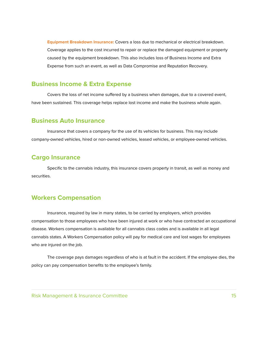**Equipment Breakdown Insurance:** Covers a loss due to mechanical or electrical breakdown. Coverage applies to the cost incurred to repair or replace the damaged equipment or property caused by the equipment breakdown. This also includes loss of Business Income and Extra Expense from such an event, as well as Data Compromise and Reputation Recovery.

#### **Business Income & Extra Expense**

Covers the loss of net income suffered by a business when damages, due to a covered event, have been sustained. This coverage helps replace lost income and make the business whole again.

#### **Business Auto Insurance**

Insurance that covers a company for the use of its vehicles for business. This may include company-owned vehicles, hired or non-owned vehicles, leased vehicles, or employee-owned vehicles.

#### **Cargo Insurance**

Specific to the cannabis industry, this insurance covers property in transit, as well as money and securities.

#### **Workers Compensation**

Insurance, required by law in many states, to be carried by employers, which provides compensation to those employees who have been injured at work or who have contracted an occupational disease. Workers compensation is available for all cannabis class codes and is available in all legal cannabis states. A Workers Compensation policy will pay for medical care and lost wages for employees who are injured on the job.

The coverage pays damages regardless of who is at fault in the accident. If the employee dies, the policy can pay compensation benefits to the employee's family.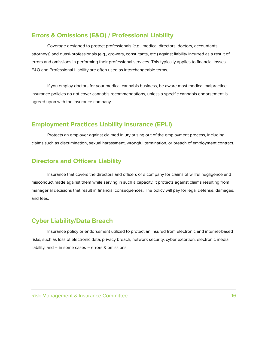#### **Errors & Omissions (E&O) / Professional Liability**

Coverage designed to protect professionals (e.g., medical directors, doctors, accountants, attorneys) and quasi-professionals (e.g., growers, consultants, etc.) against liability incurred as a result of errors and omissions in performing their professional services. This typically applies to financial losses. E&O and Professional Liability are often used as interchangeable terms.

If you employ doctors for your medical cannabis business, be aware most medical malpractice insurance policies do not cover cannabis recommendations, unless a specific cannabis endorsement is agreed upon with the insurance company.

#### **Employment Practices Liability Insurance (EPLI)**

Protects an employer against claimed injury arising out of the employment process, including claims such as discrimination, sexual harassment, wrongful termination, or breach of employment contract.

#### **Directors and Officers Liability**

Insurance that covers the directors and officers of a company for claims of willful negligence and misconduct made against them while serving in such a capacity. It protects against claims resulting from managerial decisions that result in financial consequences. The policy will pay for legal defense, damages, and fees.

#### **Cyber Liability/Data Breach**

Insurance policy or endorsement utilized to protect an insured from electronic and internet-based risks, such as loss of electronic data, privacy breach, network security, cyber extortion, electronic media liability, and *–* in some cases *–* errors & omissions.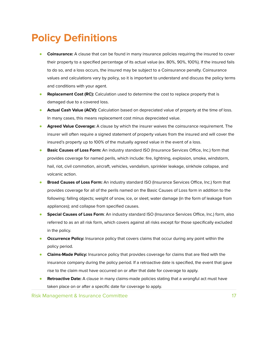### **Policy Definitions**

- **Coinsurance:** A clause that can be found in many insurance policies requiring the insured to cover their property to a specified percentage of its actual value (ex. 80%, 90%, 100%). If the insured fails to do so, and a loss occurs, the insured may be subject to a Coinsurance penalty. Coinsurance values and calculations vary by policy, so it is important to understand and discuss the policy terms and conditions with your agent.
- **Replacement Cost (RC):** Calculation used to determine the cost to replace property that is damaged due to a covered loss.
- **Actual Cash Value (ACV):** Calculation based on depreciated value of property at the time of loss. In many cases, this means replacement cost minus depreciated value.
- **Agreed Value Coverage:** A clause by which the insurer waives the coinsurance requirement. The insurer will often require a signed statement of property values from the insured and will cover the insured's property up to 100% of the mutually agreed value in the event of a loss.
- **Basic Causes of Loss Form:** An industry standard ISO (Insurance Services Office, Inc.) form that provides coverage for named perils, which include: fire, lightning, explosion, smoke, windstorm, hail, riot, civil commotion, aircraft, vehicles, vandalism, sprinkler leakage, sinkhole collapse, and volcanic action.
- **Broad Causes of Loss Form:** An industry standard ISO (Insurance Services Office, Inc.) form that provides coverage for all of the perils named on the Basic Causes of Loss form in addition to the following: falling objects; weight of snow, ice, or sleet; water damage (in the form of leakage from appliances); and collapse from specified causes.
- **Special Causes of Loss Form**: An industry standard ISO (Insurance Services Office, Inc.) form, also referred to as an all risk form, which covers against all risks except for those specifically excluded in the policy.
- **Occurrence Policy:** Insurance policy that covers claims that occur during any point within the policy period.
- **Claims-Made Policy:** Insurance policy that provides coverage for claims that are filed with the insurance company during the policy period. If a retroactive date is specified, the event that gave rise to the claim must have occurred on or after that date for coverage to apply.
- **Retroactive Date:** A clause in many claims-made policies stating that a wrongful act must have taken place on or after a specific date for coverage to apply.

Risk Management & Insurance Committee 17 and 17 and 17 and 17 and 17 and 17 and 17 and 17 and 17 and 17 and 17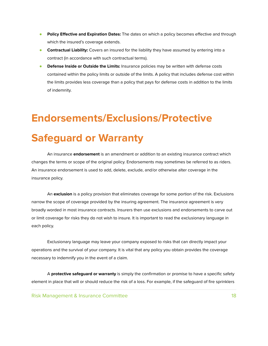- **Policy Effective and Expiration Dates:** The dates on which a policy becomes effective and through which the insured's coverage extends.
- **Contractual Liability:** Covers an insured for the liability they have assumed by entering into a contract (in accordance with such contractual terms).
- **Defense Inside or Outside the Limits:** Insurance policies may be written with defense costs contained within the policy limits or outside of the limits. A policy that includes defense cost within the limits provides less coverage than a policy that pays for defense costs in addition to the limits of indemnity.

### **Endorsements/Exclusions/Protective**

### **Safeguard or Warranty**

An insurance **endorsement** is an amendment or addition to an existing insurance contract which changes the terms or scope of the original policy. Endorsements may sometimes be referred to as riders. An insurance endorsement is used to add, delete, exclude, and/or otherwise alter coverage in the insurance policy.

An **exclusion** is a policy provision that eliminates coverage for some portion of the risk. Exclusions narrow the scope of coverage provided by the insuring agreement. The insurance agreement is very broadly worded in most insurance contracts. Insurers then use exclusions and endorsements to carve out or limit coverage for risks they do not wish to insure. It is important to read the exclusionary language in each policy.

Exclusionary language may leave your company exposed to risks that can directly impact your operations and the survival of your company. It is vital that any policy you obtain provides the coverage necessary to indemnify you in the event of a claim.

A **protective safeguard or warranty** is simply the confirmation or promise to have a specific safety element in place that will or should reduce the risk of a loss. For example, if the safeguard of fire sprinklers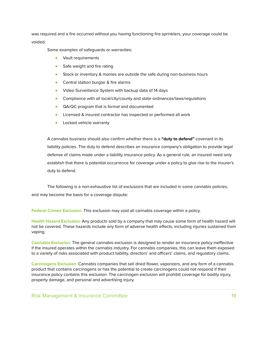was required and a fire occurred without you having functioning fire sprinklers, your coverage could be voided.

Some examples of safeguards or warranties:

- Vault requirements
- Safe weight and fire rating
- Stock or inventory & monies are outside the safe during non-business hours
- Central station burglar & fire alarms
- Video Surveillance System with backup data of 14 days
- Compliance with all local/city/county and state ordinances/laws/regulations
- QA/QC program that is formal and documented
- Licensed & insured contractor has inspected or performed all work
- **•** Locked vehicle warranty

A cannabis business should also confirm whether there is a **"duty to defend"** covenant in its liability policies. The duty to defend describes an insurance company's obligation to provide legal defense of claims made under a liability insurance policy. As a general rule, an insured need only establish that there is potential occurrence for coverage under a policy to give rise to the insurer's duty to defend.

The following is a non-exhaustive list of exclusions that are included in some cannabis policies, and may become the basis for a coverage dispute:

**Federal Crimes Exclusion:** This exclusion may void all cannabis coverage within a policy.

**Health Hazard Exclusion:** Any products sold by a company that may cause some form of health hazard will not be covered. These hazards include any form of adverse health effects, including injuries sustained from vaping.

**Cannabis Exclusion:** The general cannabis exclusion is designed to render an insurance policy ineffective if the insured operates within the cannabis industry. For cannabis companies, this can leave them exposed to a variety of risks associated with product liability, directors' and officers' claims, and regulatory claims.

**Carcinogens Exclusion**: Cannabis companies that sell dried flower, vaporizers, and any form of a cannabis product that contains carcinogens or has the potential to create carcinogens could not respond if their insurance policy contains this exclusion. The carcinogen exclusion will prohibit coverage for bodily injury, property damage, and personal and advertising injury.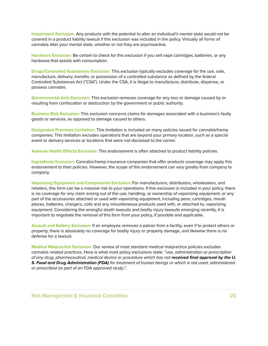**Impairment Exclusion**: Any products with the potential to alter an individual's mental state would not be covered in a product liability lawsuit if this exclusion was included in the policy. Virtually all forms of cannabis alter your mental state, whether or not they are psychoactive.

**Hardware Exclusion**: Be certain to check for this exclusion if you sell vape cartridges, batteries, or any hardware that assists with consumption.

**Drugs/Controlled Substances Exclusion**: This exclusion typically excludes coverage for the use, sale, manufacture, delivery, transfer, or possession of a controlled substance as defined by the federal Controlled Substances Act ("CSA"). Under the CSA, it is illegal to manufacture, distribute, dispense, or possess cannabis.

**Governmental Acts Exclusion:** This exclusion removes coverage for any loss or damage caused by or resulting from confiscation or destruction by the government or public authority.

**Business Risk Exclusion:** This exclusion concerns claims for damages associated with a business's faulty goods or services, as opposed to damage caused to others.

**Designated Premises Limitation:** This limitation is included on many policies issued for cannabis/hemp companies. This limitation excludes operations that are beyond your primary location, such as a special event or delivery services or locations that were not disclosed to the carrier.

**Adverse Health Effects Exclusion**: This endorsement is often attached to product liability policies.

**Ingredients Exclusion:** Cannabis/hemp insurance companies that offer products coverage may apply this endorsement to their policies. However, the scope of this endorsement can vary greatly from company to company.

**Vaporizing Equipment and Components Exclusion:** For manufacturers, distributors, wholesalers, and retailers, this form can be a massive risk to your operations. If this exclusion is included in your policy, there is no coverage for any claim arising out of the use, handling, or ownership of vaporizing equipment, or any part of the accessories attached or used with vaporizing equipment, including pens, cartridges, mouth pieces, batteries, chargers, coils and any miscellaneous products used with, or attached to, vaporizing equipment. Considering the wrongful death lawsuits and bodily injury lawsuits emerging recently, it is important to negotiate the removal of this form from your policy, if possible and applicable.

**Assault and Battery Exclusion:** If an employee removes a patron from a facility, even if to protect others or property, there is absolutely no coverage for bodily injury or property damage, and likewise there is no defense for a lawsuit.

**Medical Malpractice Exclusion:** Our review of most standard medical malpractice policies excludes cannabis related practices. Here is what most policy exclusions state: "use, administration or prescription of any drug, pharmaceutical, medical device or procedure which has not **received final approval by the U. S. Food and Drug Administration (FDA)** for treatment of human beings or which is not used, administered or prescribed as part of an FDA approved study;".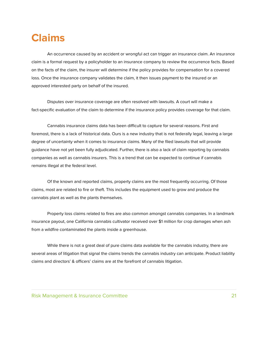### **Claims**

An occurrence caused by an accident or wrongful act can trigger an insurance claim. An insurance claim is a formal request by a policyholder to an insurance company to review the occurrence facts. Based on the facts of the claim, the insurer will determine if the policy provides for compensation for a covered loss. Once the insurance company validates the claim, it then issues payment to the insured or an approved interested party on behalf of the insured.

Disputes over insurance coverage are often resolved with lawsuits. A court will make a fact-specific evaluation of the claim to determine if the insurance policy provides coverage for that claim.

Cannabis insurance claims data has been difficult to capture for several reasons. First and foremost, there is a lack of historical data. Ours is a new industry that is not federally legal, leaving a large degree of uncertainty when it comes to insurance claims. Many of the filed lawsuits that will provide guidance have not yet been fully adjudicated. Further, there is also a lack of claim reporting by cannabis companies as well as cannabis insurers. This is a trend that can be expected to continue if cannabis remains illegal at the federal level.

Of the known and reported claims, property claims are the most frequently occurring. Of those claims, most are related to fire or theft. This includes the equipment used to grow and produce the cannabis plant as well as the plants themselves.

Property loss claims related to fires are also common amongst cannabis companies. In a landmark insurance payout, one California cannabis cultivator received over \$1 million for crop damages when ash from a wildfire contaminated the plants inside a greenhouse.

While there is not a great deal of pure claims data available for the cannabis industry, there are several areas of litigation that signal the claims trends the cannabis industry can anticipate. Product liability claims and directors' & officers' claims are at the forefront of cannabis litigation.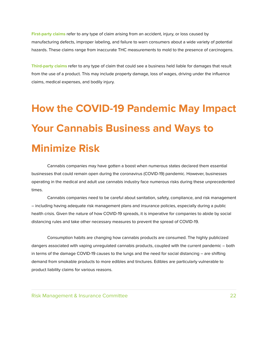**First-party claims** refer to any type of claim arising from an accident, injury, or loss caused by manufacturing defects, improper labeling, and failure to warn consumers about a wide variety of potential hazards. These claims range from inaccurate THC measurements to mold to the presence of carcinogens.

**Third-party claims** refer to any type of claim that could see a business held liable for damages that result from the use of a product. This may include property damage, loss of wages, driving under the influence claims, medical expenses, and bodily injury.

## **How the COVID-19 Pandemic May Impact Your Cannabis Business and Ways to Minimize Risk**

Cannabis companies may have gotten a boost when numerous states declared them essential businesses that could remain open during the coronavirus (COVID-19) pandemic. However, businesses operating in the medical and adult use cannabis industry face numerous risks during these unprecedented times.

Cannabis companies need to be careful about sanitation, safety, compliance, and risk management – including having adequate risk management plans and insurance policies, especially during a public health crisis. Given the nature of how COVID-19 spreads, it is imperative for companies to abide by social distancing rules and take other necessary measures to prevent the spread of COVID-19.

Consumption habits are changing how cannabis products are consumed. The highly publicized dangers associated with vaping unregulated cannabis products, coupled with the current pandemic – both in terms of the damage COVID-19 causes to the lungs and the need for social distancing – are shifting demand from smokable products to more edibles and tinctures. Edibles are particularly vulnerable to product liability claims for various reasons.

Risk Management & Insurance Committee 22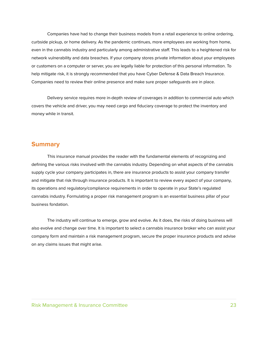Companies have had to change their business models from a retail experience to online ordering, curbside pickup, or home delivery. As the pandemic continues, more employees are working from home, even in the cannabis industry and particularly among administrative staff. This leads to a heightened risk for network vulnerability and data breaches. If your company stores private information about your employees or customers on a computer or server, you are legally liable for protection of this personal information. To help mitigate risk, it is strongly recommended that you have Cyber Defense & Data Breach Insurance. Companies need to review their online presence and make sure proper safeguards are in place.

Delivery service requires more in-depth review of coverages in addition to commercial auto which covers the vehicle and driver, you may need cargo and fiduciary coverage to protect the inventory and money while in transit.

#### **Summary**

This insurance manual provides the reader with the fundamental elements of recognizing and defining the various risks involved with the cannabis industry. Depending on what aspects of the cannabis supply cycle your company participates in, there are insurance products to assist your company transfer and mitigate that risk through insurance products. It is important to review every aspect of your company, its operations and regulatory/compliance requirements in order to operate in your State's regulated cannabis industry. Formulating a proper risk management program is an essential business pillar of your business fondation.

The industry will continue to emerge, grow and evolve. As it does, the risks of doing business will also evolve and change over time. It is important to select a cannabis insurance broker who can assist your company form and maintain a risk management program, secure the proper insurance products and advise on any claims issues that might arise.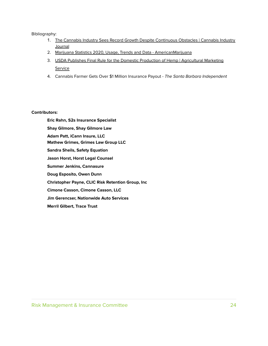#### Bibliography:

- 1. The Cannabis Industry Sees Record Growth Despite [Continuous](https://cannabisindustryjournal.com/column/the-cannabis-industry-sees-record-growth-despite-continuous-obstacles/?shared=email&msg=fail) Obstacles | Cannabis Industry **[Journal](https://cannabisindustryjournal.com/column/the-cannabis-industry-sees-record-growth-despite-continuous-obstacles/?shared=email&msg=fail)**
- 2. Marijuana Statistics 2020, Usage, Trends and Data [AmericanMarijuana](https://americanmarijuana.org/marijuana-statistics/)
- 3. USDA Publishes Final Rule for the Domestic Production of Hemp | [Agricultural](https://www.ams.usda.gov/press-release/usda-publishes-final-rule-domestic-production-hemp) Marketing **[Service](https://www.ams.usda.gov/press-release/usda-publishes-final-rule-domestic-production-hemp)**
- 4. Cannabis Farmer Gets Over \$1 Million Insurance Payout The Santa Barbara [Independent](https://www.independent.com/2018/03/19/cannabis-farmer-gets-over-1-million-insurance-payout/)

#### **Contributors:**

**Eric Rahn, S2s Insurance Specialist Shay Gilmore, Shay Gilmore Law Adam Patt, iCann Insure, LLC Mathew Grimes, Grimes Law Group LLC Sandra Sheils, Safety Equation Jason Horst, Horst Legal Counsel Summer Jenkins, Cannasure Doug Esposito, Owen Dunn Christopher Payne, CLIC Risk Retention Group, Inc Cimone Casson, Cimone Casson, LLC Jim Gerencser, Nationwide Auto Services Merril Gilbert, Trace Trust**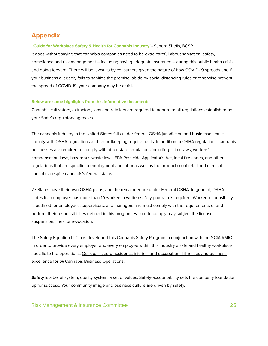#### **Appendix**

#### **"Guide for Workplace Safety & Health for Cannabis Industry"-** Sandra Sheils, BCSP

It goes without saying that cannabis companies need to be extra careful about sanitation, safety, compliance and risk management – including having adequate insurance – during this public health crisis and going forward. There will be lawsuits by consumers given the nature of how COVID-19 spreads and if your business allegedly fails to sanitize the premise, abide by social distancing rules or otherwise prevent the spread of COVID-19, your company may be at risk.

#### **Below are some highlights from this informative document:**

Cannabis cultivators, extractors, labs and retailers are required to adhere to all regulations established by your State's regulatory agencies.

The cannabis industry in the United States falls under federal OSHA jurisdiction and businesses must comply with OSHA regulations and recordkeeping requirements. In addition to OSHA regulations, cannabis businesses are required to comply with other state regulations including labor laws, workers' compensation laws, hazardous waste laws, EPA Pesticide Applicator's Act, local fire codes, and other regulations that are specific to employment and labor as well as the production of retail and medical cannabis despite cannabis's federal status.

27 States have their own OSHA plans, and the remainder are under Federal OSHA. In general, OSHA states if an employer has more than 10 workers a written safety program is required. Worker responsibility is outlined for employees, supervisors, and managers and must comply with the requirements of and perform their responsibilities defined in this program. Failure to comply may subject the license suspension, fines, or revocation.

The Safety Equation LLC has developed this Cannabis Safety Program in conjunction with the NCIA RMIC in order to provide every employer and every employee within this industry a safe and healthy workplace specific to the operations. Our goal is zero accidents, injuries, and occupational illnesses and business excellence for all Cannabis Business Operations.

**Safety** is a belief system, quality system, a set of values. Safety-accountability sets the company foundation up for success. Your community image and business culture are driven by safety.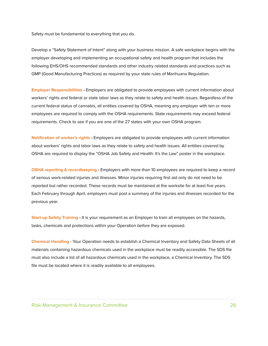Safety must be fundamental to everything that you do.

Develop a "Safety Statement of Intent" along with your business mission. A safe workplace begins with the employer developing and implementing an occupational safety and health program that includes the following EHS/OHS recommended standards and other industry related standards and practices such as GMP (Good Manufacturing Practices) as required by your state rules of Marihuana Regulation.

**Employer Responsibilities -** Employers are obligated to provide employees with current information about workers' rights and federal or state labor laws as they relate to safety and health issues. Regardless of the current federal status of cannabis, all entities covered by OSHA, meaning any employer with ten or more employees are required to comply with the OSHA requirements. State requirements may exceed federal requirements. Check to see if you are one of the 27 states with your own OSHA program.

**Notification of worker's rights -** Employers are obligated to provide employees with current information about workers' rights and labor laws as they relate to safety and health issues. All entities covered by OSHA are required to display the "OSHA Job Safety and Health: It's the Law" poster in the workplace.

**OSHA reporting & recordkeeping -** Employers with more than 10 employees are required to keep a record of serious work-related injuries and illnesses. Minor injuries requiring first aid only do not need to be reported but rather recorded. These records must be maintained at the worksite for at least five years. Each February through April, employers must post a summary of the injuries and illnesses recorded for the previous year.

**Start-up Safety Training -** It is your requirement as an Employer to train all employees on the hazards, tasks, chemicals and protections within your Operation before they are exposed.

**Chemical Handling** - Your Operation needs to establish a Chemical Inventory and Safety Data Sheets of all materials containing hazardous chemicals used in the workplace must be readily accessible. The SDS file must also include a list of all hazardous chemicals used in the workplace, a Chemical Inventory. The SDS file must be located where it is readily available to all employees.